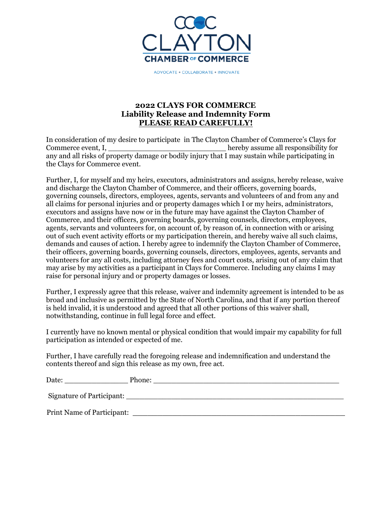

ADVOCATE . COLLABORATE . INNOVATE

## **2022 CLAYS FOR COMMERCE Liability Release and Indemnity Form PLEASE READ CAREFULLY!**

In consideration of my desire to participate in The Clayton Chamber of Commerce's Clays for Commerce event, I, the commerce event, I, the commerce event, I, the commerce event, I, the commerce of  $\mu$  assume all responsibility for any and all risks of property damage or bodily injury that I may sustain while participating in the Clays for Commerce event.

Further, I, for myself and my heirs, executors, administrators and assigns, hereby release, waive and discharge the Clayton Chamber of Commerce, and their officers, governing boards, governing counsels, directors, employees, agents, servants and volunteers of and from any and all claims for personal injuries and or property damages which I or my heirs, administrators, executors and assigns have now or in the future may have against the Clayton Chamber of Commerce, and their officers, governing boards, governing counsels, directors, employees, agents, servants and volunteers for, on account of, by reason of, in connection with or arising out of such event activity efforts or my participation therein, and hereby waive all such claims, demands and causes of action. I hereby agree to indemnify the Clayton Chamber of Commerce, their officers, governing boards, governing counsels, directors, employees, agents, servants and volunteers for any all costs, including attorney fees and court costs, arising out of any claim that may arise by my activities as a participant in Clays for Commerce. Including any claims I may raise for personal injury and or property damages or losses.

Further, I expressly agree that this release, waiver and indemnity agreement is intended to be as broad and inclusive as permitted by the State of North Carolina, and that if any portion thereof is held invalid, it is understood and agreed that all other portions of this waiver shall, notwithstanding, continue in full legal force and effect.

I currently have no known mental or physical condition that would impair my capability for full participation as intended or expected of me.

Further, I have carefully read the foregoing release and indemnification and understand the contents thereof and sign this release as my own, free act.

| Date:                             | Phone: |
|-----------------------------------|--------|
| Signature of Participant:         |        |
| <b>Print Name of Participant:</b> |        |